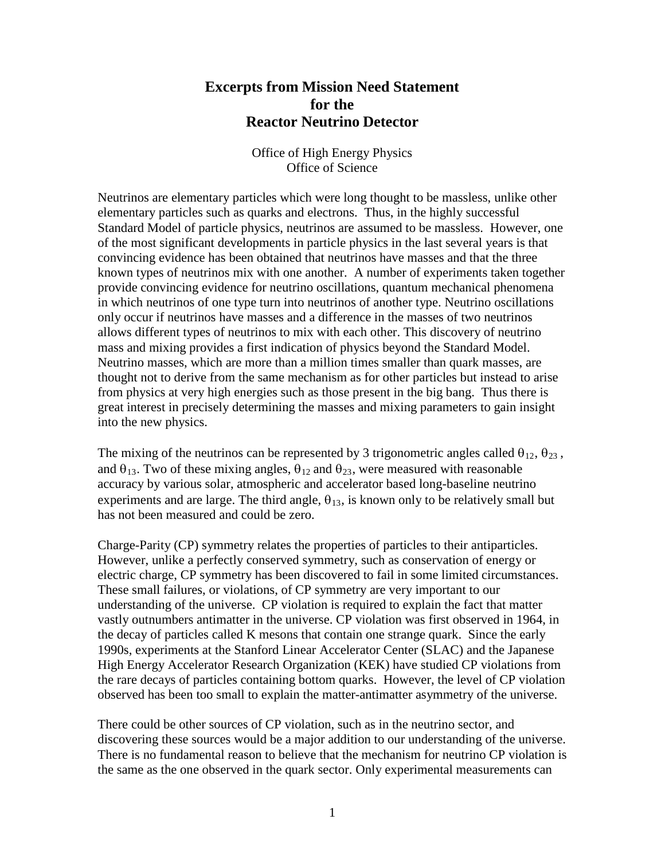## **Excerpts from Mission Need Statement for the Reactor Neutrino Detector**

Office of High Energy Physics Office of Science

Neutrinos are elementary particles which were long thought to be massless, unlike other elementary particles such as quarks and electrons. Thus, in the highly successful Standard Model of particle physics, neutrinos are assumed to be massless. However, one of the most significant developments in particle physics in the last several years is that convincing evidence has been obtained that neutrinos have masses and that the three known types of neutrinos mix with one another. A number of experiments taken together provide convincing evidence for neutrino oscillations, quantum mechanical phenomena in which neutrinos of one type turn into neutrinos of another type. Neutrino oscillations only occur if neutrinos have masses and a difference in the masses of two neutrinos allows different types of neutrinos to mix with each other. This discovery of neutrino mass and mixing provides a first indication of physics beyond the Standard Model. Neutrino masses, which are more than a million times smaller than quark masses, are thought not to derive from the same mechanism as for other particles but instead to arise from physics at very high energies such as those present in the big bang. Thus there is great interest in precisely determining the masses and mixing parameters to gain insight into the new physics.

The mixing of the neutrinos can be represented by 3 trigonometric angles called  $\theta_{12}$ ,  $\theta_{23}$ , and  $\theta_{13}$ . Two of these mixing angles,  $\theta_{12}$  and  $\theta_{23}$ , were measured with reasonable accuracy by various solar, atmospheric and accelerator based long-baseline neutrino experiments and are large. The third angle,  $\theta_{13}$ , is known only to be relatively small but has not been measured and could be zero.

Charge-Parity (CP) symmetry relates the properties of particles to their antiparticles. However, unlike a perfectly conserved symmetry, such as conservation of energy or electric charge, CP symmetry has been discovered to fail in some limited circumstances. These small failures, or violations, of CP symmetry are very important to our understanding of the universe. CP violation is required to explain the fact that matter vastly outnumbers antimatter in the universe. CP violation was first observed in 1964, in the decay of particles called K mesons that contain one strange quark. Since the early 1990s, experiments at the Stanford Linear Accelerator Center (SLAC) and the Japanese High Energy Accelerator Research Organization (KEK) have studied CP violations from the rare decays of particles containing bottom quarks. However, the level of CP violation observed has been too small to explain the matter-antimatter asymmetry of the universe.

There could be other sources of CP violation, such as in the neutrino sector, and discovering these sources would be a major addition to our understanding of the universe. There is no fundamental reason to believe that the mechanism for neutrino CP violation is the same as the one observed in the quark sector. Only experimental measurements can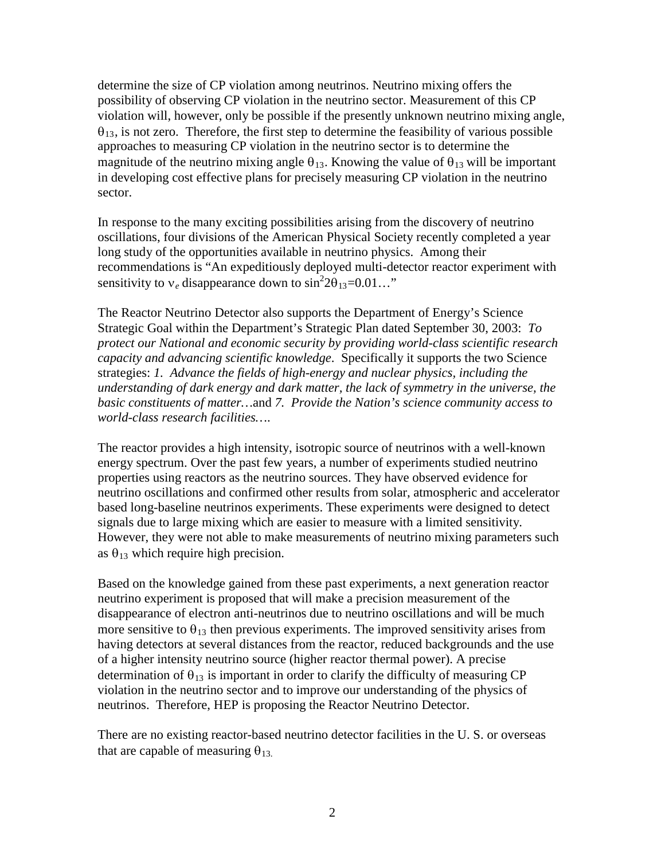determine the size of CP violation among neutrinos. Neutrino mixing offers the possibility of observing CP violation in the neutrino sector. Measurement of this CP violation will, however, only be possible if the presently unknown neutrino mixing angle,  $\theta_{13}$ , is not zero. Therefore, the first step to determine the feasibility of various possible approaches to measuring CP violation in the neutrino sector is to determine the magnitude of the neutrino mixing angle  $\theta_{13}$ . Knowing the value of  $\theta_{13}$  will be important in developing cost effective plans for precisely measuring CP violation in the neutrino sector.

In response to the many exciting possibilities arising from the discovery of neutrino oscillations, four divisions of the American Physical Society recently completed a year long study of the opportunities available in neutrino physics. Among their recommendations is "An expeditiously deployed multi-detector reactor experiment with sensitivity to  $v_e$  disappearance down to  $\sin^2 2\theta_{13} = 0.01...$ "

The Reactor Neutrino Detector also supports the Department of Energy's Science Strategic Goal within the Department's Strategic Plan dated September 30, 2003: *To protect our National and economic security by providing world-class scientific research capacity and advancing scientific knowledge*. Specifically it supports the two Science strategies: *1. Advance the fields of high-energy and nuclear physics, including the understanding of dark energy and dark matter, the lack of symmetry in the universe, the basic constituents of matter…*and *7. Provide the Nation's science community access to world-class research facilities…*.

The reactor provides a high intensity, isotropic source of neutrinos with a well-known energy spectrum. Over the past few years, a number of experiments studied neutrino properties using reactors as the neutrino sources. They have observed evidence for neutrino oscillations and confirmed other results from solar, atmospheric and accelerator based long-baseline neutrinos experiments. These experiments were designed to detect signals due to large mixing which are easier to measure with a limited sensitivity. However, they were not able to make measurements of neutrino mixing parameters such as  $\theta_{13}$  which require high precision.

Based on the knowledge gained from these past experiments, a next generation reactor neutrino experiment is proposed that will make a precision measurement of the disappearance of electron anti-neutrinos due to neutrino oscillations and will be much more sensitive to  $\theta_{13}$  then previous experiments. The improved sensitivity arises from having detectors at several distances from the reactor, reduced backgrounds and the use of a higher intensity neutrino source (higher reactor thermal power). A precise determination of  $\theta_{13}$  is important in order to clarify the difficulty of measuring CP violation in the neutrino sector and to improve our understanding of the physics of neutrinos. Therefore, HEP is proposing the Reactor Neutrino Detector.

There are no existing reactor-based neutrino detector facilities in the U. S. or overseas that are capable of measuring  $\theta_{13}$ .